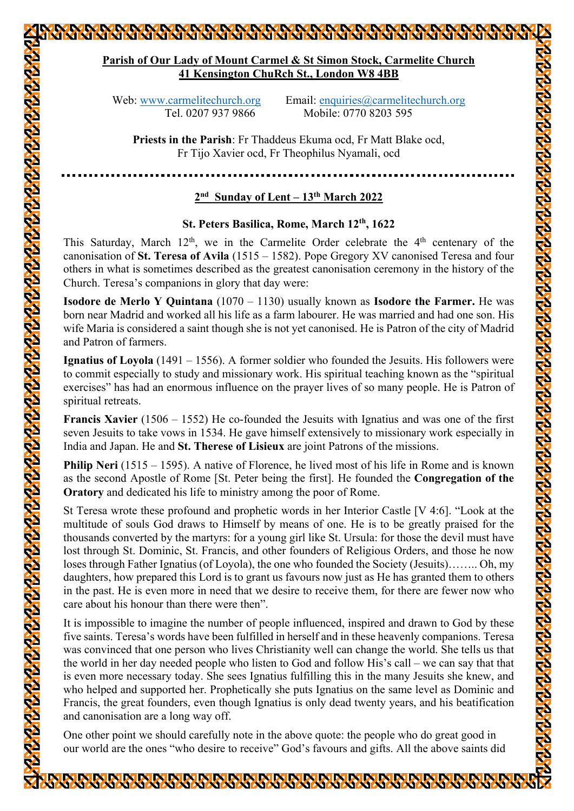# **Parish of Our Lady of Mount Carmel & St Simon Stock, Carmelite Church 41 Kensington ChuRch St., London W8 4BB** Web: www.carmelitechurch.org Email: enquiries@carmelitechurch.org Tel. 0207 937 9866 Mobile: 0770 8203 595 **Priests in the Parish**: Fr Thaddeus Ekuma ocd, Fr Matt Blake ocd, Fr Tijo Xavier ocd, Fr Theophilus Nyamali, ocd **2nd Sunday of Lent – 13th March 2022 St. Peters Basilica, Rome, March 12th, 1622** This Saturday, March  $12<sup>th</sup>$ , we in the Carmelite Order celebrate the  $4<sup>th</sup>$  centenary of the canonisation of **St. Teresa of Avila** (1515 – 1582). Pope Gregory XV canonised Teresa and four others in what is sometimes described as the greatest canonisation ceremony in the history of the Church. Teresa's companions in glory that day were: **Isodore de Merlo Y Quintana** (1070 – 1130) usually known as **Isodore the Farmer.** He was born near Madrid and worked all his life as a farm labourer. He was married and had one son. His wife Maria is considered a saint though she is not yet canonised. He is Patron of the city of Madrid and Patron of farmers.

**Ignatius of Loyola** (1491 – 1556). A former soldier who founded the Jesuits. His followers were to commit especially to study and missionary work. His spiritual teaching known as the "spiritual exercises" has had an enormous influence on the prayer lives of so many people. He is Patron of spiritual retreats.

**Francis Xavier** (1506 – 1552) He co-founded the Jesuits with Ignatius and was one of the first seven Jesuits to take vows in 1534. He gave himself extensively to missionary work especially in India and Japan. He and **St. Therese of Lisieux** are joint Patrons of the missions.

**Philip Neri** (1515 – 1595). A native of Florence, he lived most of his life in Rome and is known as the second Apostle of Rome [St. Peter being the first]. He founded the **Congregation of the Oratory** and dedicated his life to ministry among the poor of Rome.

St Teresa wrote these profound and prophetic words in her Interior Castle [V 4:6]. "Look at the multitude of souls God draws to Himself by means of one. He is to be greatly praised for the thousands converted by the martyrs: for a young girl like St. Ursula: for those the devil must have lost through St. Dominic, St. Francis, and other founders of Religious Orders, and those he now loses through Father Ignatius (of Loyola), the one who founded the Society (Jesuits)…….. Oh, my daughters, how prepared this Lord is to grant us favours now just as He has granted them to others in the past. He is even more in need that we desire to receive them, for there are fewer now who care about his honour than there were then".

It is impossible to imagine the number of people influenced, inspired and drawn to God by these five saints. Teresa's words have been fulfilled in herself and in these heavenly companions. Teresa was convinced that one person who lives Christianity well can change the world. She tells us that the world in her day needed people who listen to God and follow His's call – we can say that that is even more necessary today. She sees Ignatius fulfilling this in the many Jesuits she knew, and who helped and supported her. Prophetically she puts Ignatius on the same level as Dominic and Francis, the great founders, even though Ignatius is only dead twenty years, and his beatification and canonisation are a long way off.

One other point we should carefully note in the above quote: the people who do great good in our world are the ones "who desire to receive" God's favours and gifts. All the above saints did